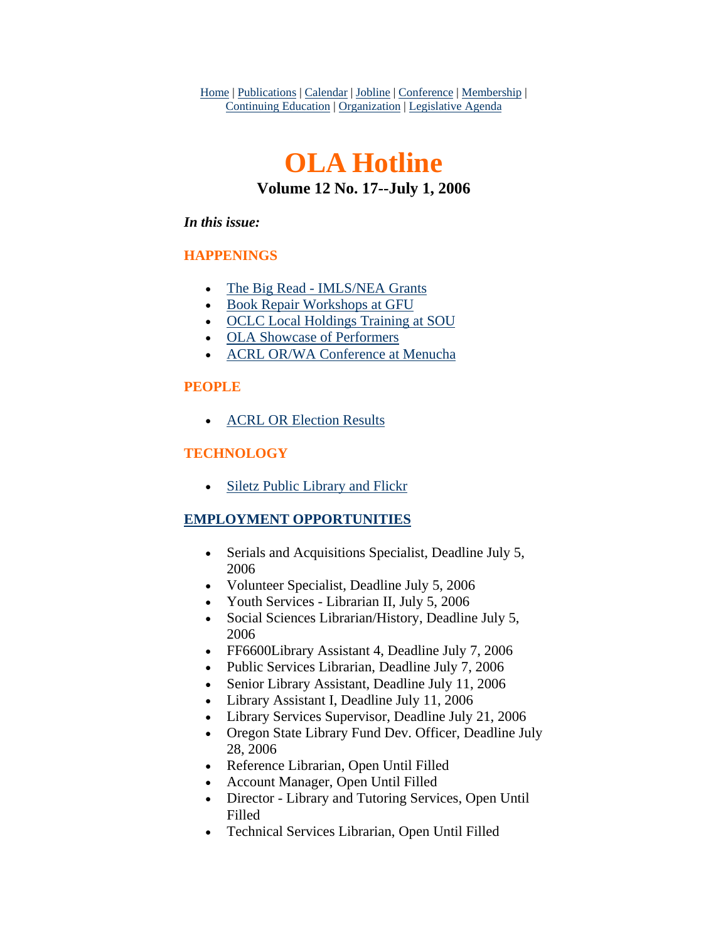Home | Publications | Calendar | Jobline | Conference | Membership | Continuing Education | Organization | Legislative Agenda

# **OLA Hotline Volume 12 No. 17--July 1, 2006**

#### *In this issue:*

### **HAPPENINGS**

- [The Big Read IMLS/NEA Grants](#page-1-0)
- [Book Repair Workshops at GFU](#page-1-0)
- [OCLC Local Holdings Training at SOU](#page-3-0)
- [OLA Showcase of Performers](#page-3-0)
- [ACRL OR/WA Conference at Menucha](#page-4-0)

### **PEOPLE**

• [ACRL OR Election Results](#page-4-0)

### **TECHNOLOGY**

• [Siletz Public Library and Flickr](#page-5-0)

### **EMPLOYMENT OPPORTUNITIES**

- Serials and Acquisitions Specialist, Deadline July 5, 2006
- Volunteer Specialist, Deadline July 5, 2006
- Youth Services Librarian II, July 5, 2006
- Social Sciences Librarian/History, Deadline July 5, 2006
- FF6600Library Assistant 4, Deadline July 7, 2006
- Public Services Librarian, Deadline July 7, 2006
- Senior Library Assistant, Deadline July 11, 2006
- Library Assistant I, Deadline July 11, 2006
- Library Services Supervisor, Deadline July 21, 2006
- Oregon State Library Fund Dev. Officer, Deadline July 28, 2006
- Reference Librarian, Open Until Filled
- Account Manager, Open Until Filled
- Director Library and Tutoring Services, Open Until Filled
- Technical Services Librarian, Open Until Filled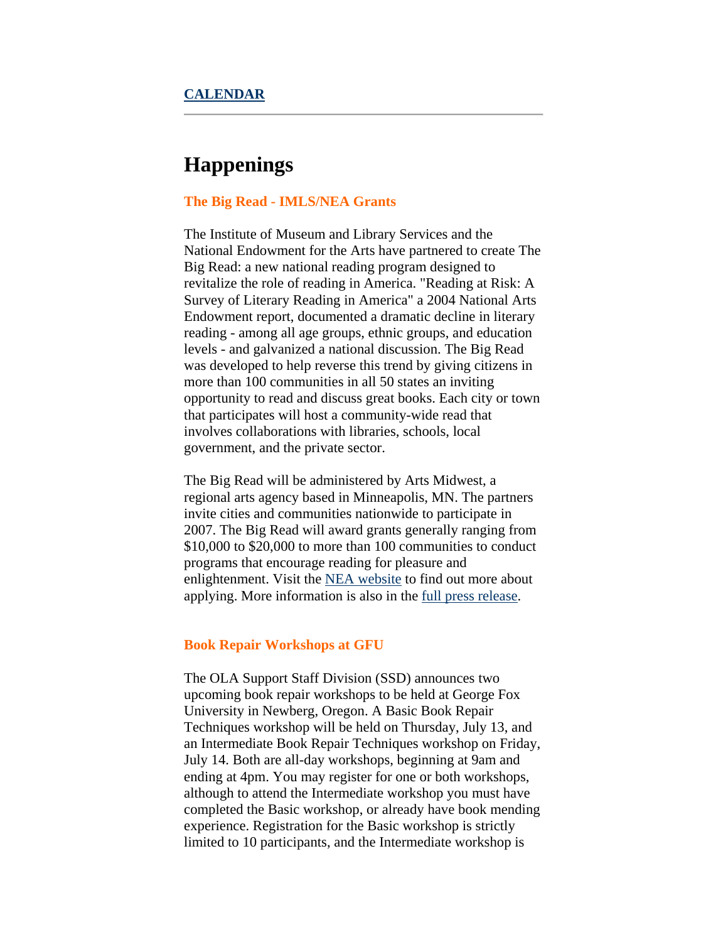## <span id="page-1-0"></span>**Happenings**

#### **The Big Read - IMLS/NEA Grants**

The Institute of Museum and Library Services and the National Endowment for the Arts have partnered to create The Big Read: a new national reading program designed to revitalize the role of reading in America. "Reading at Risk: A Survey of Literary Reading in America" a 2004 National Arts Endowment report, documented a dramatic decline in literary reading - among all age groups, ethnic groups, and education levels - and galvanized a national discussion. The Big Read was developed to help reverse this trend by giving citizens in more than 100 communities in all 50 states an inviting opportunity to read and discuss great books. Each city or town that participates will host a community-wide read that involves collaborations with libraries, schools, local government, and the private sector.

The Big Read will be administered by Arts Midwest, a regional arts agency based in Minneapolis, MN. The partners invite cities and communities nationwide to participate in 2007. The Big Read will award grants generally ranging from \$10,000 to \$20,000 to more than 100 communities to conduct programs that encourage reading for pleasure and enlightenment. Visit the [NEA website](http://www.neabigread.org/) to find out more about applying. More information is also in the [full press release.](http://www.imls.gov/news/2006/050906.shtm)

#### **Book Repair Workshops at GFU**

The OLA Support Staff Division (SSD) announces two upcoming book repair workshops to be held at George Fox University in Newberg, Oregon. A Basic Book Repair Techniques workshop will be held on Thursday, July 13, and an Intermediate Book Repair Techniques workshop on Friday, July 14. Both are all-day workshops, beginning at 9am and ending at 4pm. You may register for one or both workshops, although to attend the Intermediate workshop you must have completed the Basic workshop, or already have book mending experience. Registration for the Basic workshop is strictly limited to 10 participants, and the Intermediate workshop is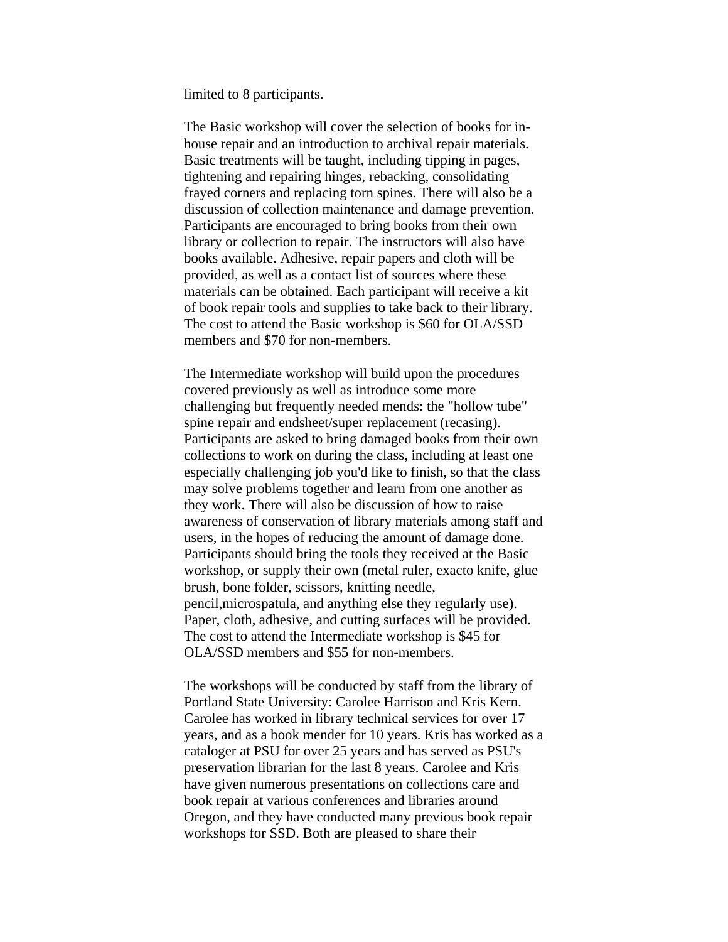limited to 8 participants.

The Basic workshop will cover the selection of books for inhouse repair and an introduction to archival repair materials. Basic treatments will be taught, including tipping in pages, tightening and repairing hinges, rebacking, consolidating frayed corners and replacing torn spines. There will also be a discussion of collection maintenance and damage prevention. Participants are encouraged to bring books from their own library or collection to repair. The instructors will also have books available. Adhesive, repair papers and cloth will be provided, as well as a contact list of sources where these materials can be obtained. Each participant will receive a kit of book repair tools and supplies to take back to their library. The cost to attend the Basic workshop is \$60 for OLA/SSD members and \$70 for non-members.

The Intermediate workshop will build upon the procedures covered previously as well as introduce some more challenging but frequently needed mends: the "hollow tube" spine repair and endsheet/super replacement (recasing). Participants are asked to bring damaged books from their own collections to work on during the class, including at least one especially challenging job you'd like to finish, so that the class may solve problems together and learn from one another as they work. There will also be discussion of how to raise awareness of conservation of library materials among staff and users, in the hopes of reducing the amount of damage done. Participants should bring the tools they received at the Basic workshop, or supply their own (metal ruler, exacto knife, glue brush, bone folder, scissors, knitting needle, pencil,microspatula, and anything else they regularly use). Paper, cloth, adhesive, and cutting surfaces will be provided. The cost to attend the Intermediate workshop is \$45 for OLA/SSD members and \$55 for non-members.

The workshops will be conducted by staff from the library of Portland State University: Carolee Harrison and Kris Kern. Carolee has worked in library technical services for over 17 years, and as a book mender for 10 years. Kris has worked as a cataloger at PSU for over 25 years and has served as PSU's preservation librarian for the last 8 years. Carolee and Kris have given numerous presentations on collections care and book repair at various conferences and libraries around Oregon, and they have conducted many previous book repair workshops for SSD. Both are pleased to share their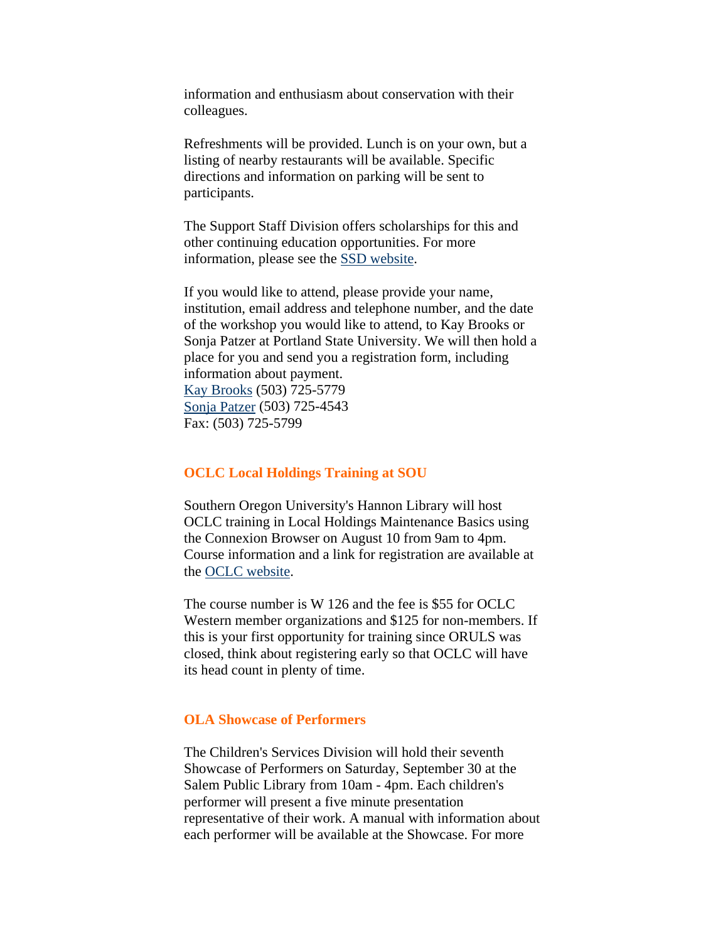<span id="page-3-0"></span>information and enthusiasm about conservation with their colleagues.

Refreshments will be provided. Lunch is on your own, but a listing of nearby restaurants will be available. Specific directions and information on parking will be sent to participants.

The Support Staff Division offers scholarships for this and other continuing education opportunities. For more information, please see the [SSD website](http://library.willamette.edu/ssd/scholarship.shtml).

If you would like to attend, please provide your name, institution, email address and telephone number, and the date of the workshop you would like to attend, to Kay Brooks or Sonja Patzer at Portland State University. We will then hold a place for you and send you a registration form, including information about payment. [Kay Brooks](mailto:kayb@pdx.edu) (503) 725-5779 [Sonja Patzer](mailto:patzers@pdx.edu) (503) 725-4543 Fax: (503) 725-5799

#### **OCLC Local Holdings Training at SOU**

Southern Oregon University's Hannon Library will host OCLC training in Local Holdings Maintenance Basics using the Connexion Browser on August 10 from 9am to 4pm. Course information and a link for registration are available at the [OCLC website](http://www.oclc.org/western/training/courses/descriptions/W126.htm).

The course number is W 126 and the fee is \$55 for OCLC Western member organizations and \$125 for non-members. If this is your first opportunity for training since ORULS was closed, think about registering early so that OCLC will have its head count in plenty of time.

#### **OLA Showcase of Performers**

The Children's Services Division will hold their seventh Showcase of Performers on Saturday, September 30 at the Salem Public Library from 10am - 4pm. Each children's performer will present a five minute presentation representative of their work. A manual with information about each performer will be available at the Showcase. For more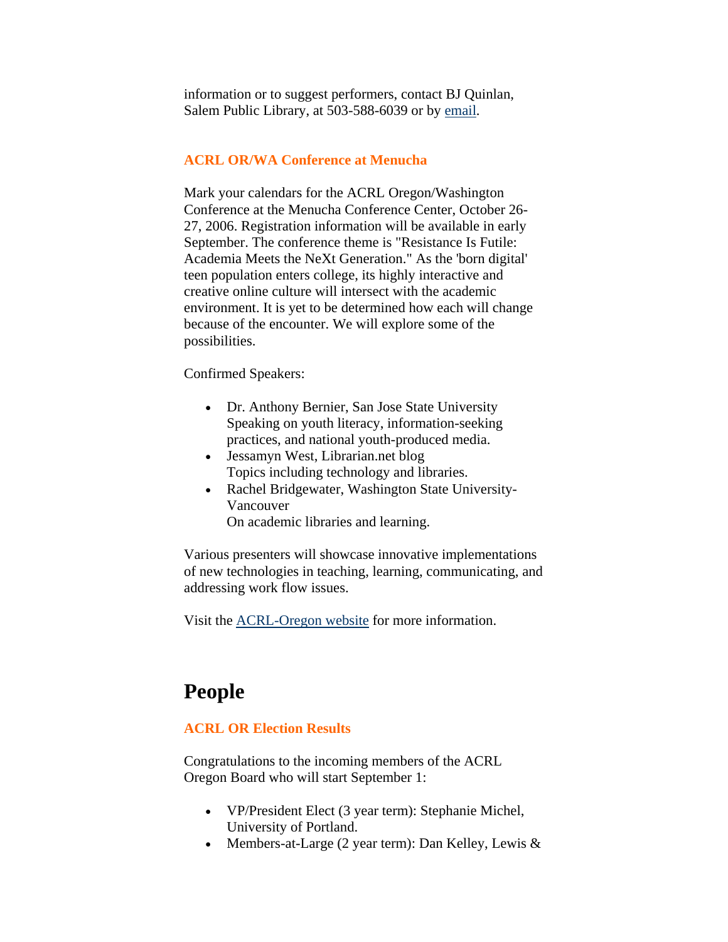<span id="page-4-0"></span>information or to suggest performers, contact BJ Quinlan, Salem Public Library, at 503-588-6039 or by [email.](mailto:bjquinlan@cityofsalem.net)

#### **ACRL OR/WA Conference at Menucha**

Mark your calendars for the ACRL Oregon/Washington Conference at the Menucha Conference Center, October 26- 27, 2006. Registration information will be available in early September. The conference theme is "Resistance Is Futile: Academia Meets the NeXt Generation." As the 'born digital' teen population enters college, its highly interactive and creative online culture will intersect with the academic environment. It is yet to be determined how each will change because of the encounter. We will explore some of the possibilities.

Confirmed Speakers:

- Dr. Anthony Bernier, San Jose State University Speaking on youth literacy, information-seeking practices, and national youth-produced media.
- Jessamyn West, Librarian.net blog Topics including technology and libraries.
- Rachel Bridgewater, Washington State University-Vancouver On academic libraries and learning.

Various presenters will showcase innovative implementations of new technologies in teaching, learning, communicating, and addressing work flow issues.

Visit the [ACRL-Oregon website](http://olaweb.org/acrl/menucha06.html) for more information.

## **People**

#### **ACRL OR Election Results**

Congratulations to the incoming members of the ACRL Oregon Board who will start September 1:

- VP/President Elect (3 year term): Stephanie Michel, University of Portland.
- Members-at-Large (2 year term): Dan Kelley, Lewis &